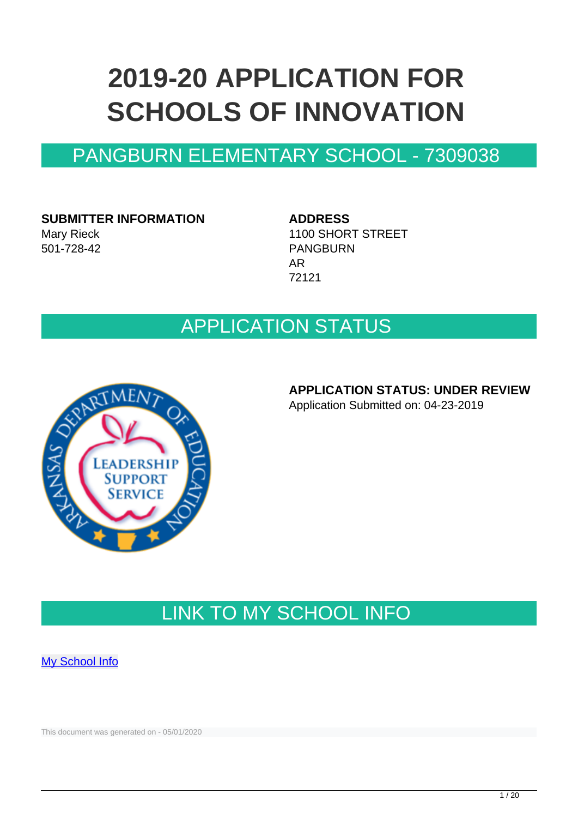# **2019-20 APPLICATION FOR SCHOOLS OF INNOVATION**

### PANGBURN ELEMENTARY SCHOOL - 7309038

#### **SUBMITTER INFORMATION** Mary Rieck 501-728-42

#### **ADDRESS**

1100 SHORT STREET PANGBURN AR 72121

### APPLICATION STATUS



#### **APPLICATION STATUS: UNDER REVIEW**

Application Submitted on: 04-23-2019

### LINK TO MY SCHOOL INFO

**[My School Info](https://myschoolinfo.arkansas.gov/Schools/Search?OperationContext=None&SearchFlag=School&Query=7309038)** 

This document was generated on - 05/01/2020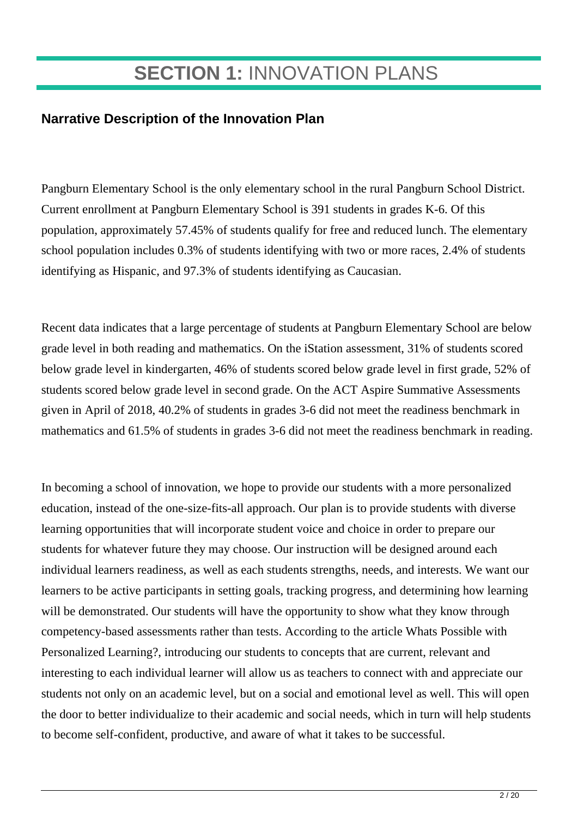### **SECTION 1:** INNOVATION PLANS

#### **Narrative Description of the Innovation Plan**

Pangburn Elementary School is the only elementary school in the rural Pangburn School District. Current enrollment at Pangburn Elementary School is 391 students in grades K-6. Of this population, approximately 57.45% of students qualify for free and reduced lunch. The elementary school population includes 0.3% of students identifying with two or more races, 2.4% of students identifying as Hispanic, and 97.3% of students identifying as Caucasian.

Recent data indicates that a large percentage of students at Pangburn Elementary School are below grade level in both reading and mathematics. On the iStation assessment, 31% of students scored below grade level in kindergarten, 46% of students scored below grade level in first grade, 52% of students scored below grade level in second grade. On the ACT Aspire Summative Assessments given in April of 2018, 40.2% of students in grades 3-6 did not meet the readiness benchmark in mathematics and 61.5% of students in grades 3-6 did not meet the readiness benchmark in reading.

In becoming a school of innovation, we hope to provide our students with a more personalized education, instead of the one-size-fits-all approach. Our plan is to provide students with diverse learning opportunities that will incorporate student voice and choice in order to prepare our students for whatever future they may choose. Our instruction will be designed around each individual learners readiness, as well as each students strengths, needs, and interests. We want our learners to be active participants in setting goals, tracking progress, and determining how learning will be demonstrated. Our students will have the opportunity to show what they know through competency-based assessments rather than tests. According to the article Whats Possible with Personalized Learning?, introducing our students to concepts that are current, relevant and interesting to each individual learner will allow us as teachers to connect with and appreciate our students not only on an academic level, but on a social and emotional level as well. This will open the door to better individualize to their academic and social needs, which in turn will help students to become self-confident, productive, and aware of what it takes to be successful.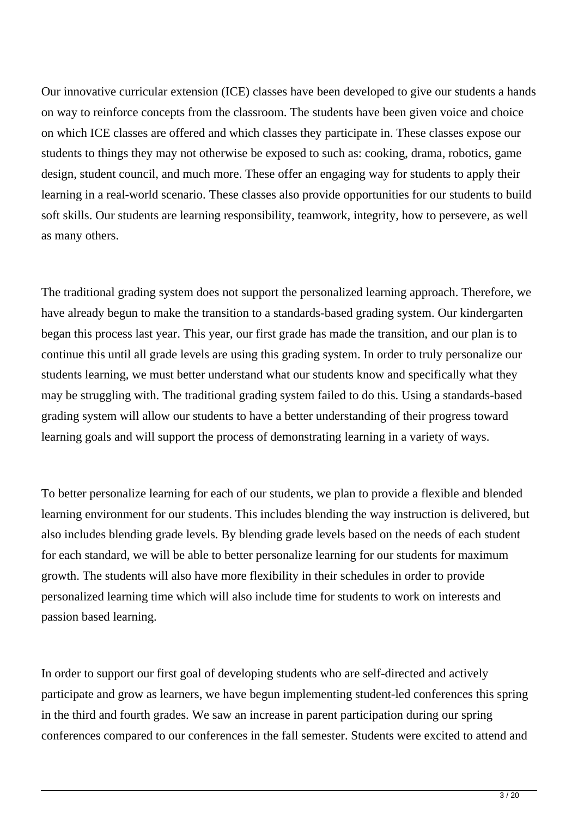Our innovative curricular extension (ICE) classes have been developed to give our students a hands on way to reinforce concepts from the classroom. The students have been given voice and choice on which ICE classes are offered and which classes they participate in. These classes expose our students to things they may not otherwise be exposed to such as: cooking, drama, robotics, game design, student council, and much more. These offer an engaging way for students to apply their learning in a real-world scenario. These classes also provide opportunities for our students to build soft skills. Our students are learning responsibility, teamwork, integrity, how to persevere, as well as many others.

The traditional grading system does not support the personalized learning approach. Therefore, we have already begun to make the transition to a standards-based grading system. Our kindergarten began this process last year. This year, our first grade has made the transition, and our plan is to continue this until all grade levels are using this grading system. In order to truly personalize our students learning, we must better understand what our students know and specifically what they may be struggling with. The traditional grading system failed to do this. Using a standards-based grading system will allow our students to have a better understanding of their progress toward learning goals and will support the process of demonstrating learning in a variety of ways.

To better personalize learning for each of our students, we plan to provide a flexible and blended learning environment for our students. This includes blending the way instruction is delivered, but also includes blending grade levels. By blending grade levels based on the needs of each student for each standard, we will be able to better personalize learning for our students for maximum growth. The students will also have more flexibility in their schedules in order to provide personalized learning time which will also include time for students to work on interests and passion based learning.

In order to support our first goal of developing students who are self-directed and actively participate and grow as learners, we have begun implementing student-led conferences this spring in the third and fourth grades. We saw an increase in parent participation during our spring conferences compared to our conferences in the fall semester. Students were excited to attend and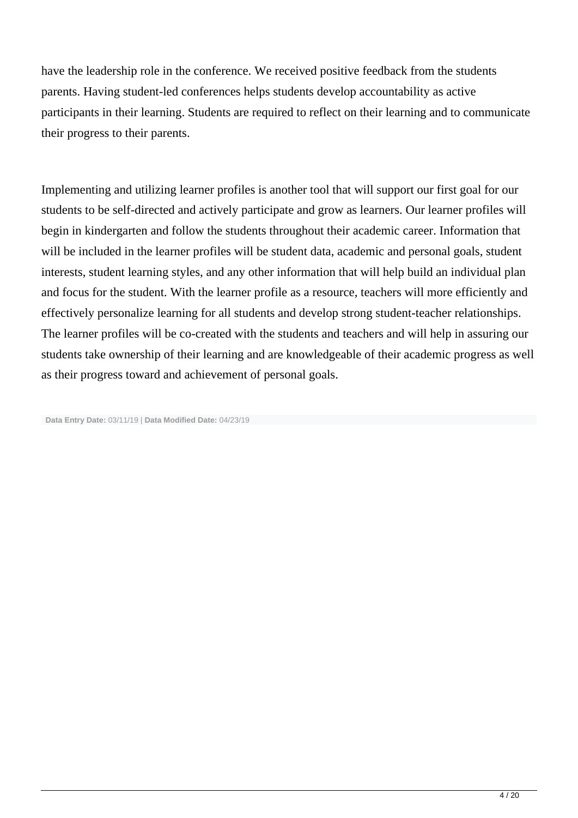have the leadership role in the conference. We received positive feedback from the students parents. Having student-led conferences helps students develop accountability as active participants in their learning. Students are required to reflect on their learning and to communicate their progress to their parents.

Implementing and utilizing learner profiles is another tool that will support our first goal for our students to be self-directed and actively participate and grow as learners. Our learner profiles will begin in kindergarten and follow the students throughout their academic career. Information that will be included in the learner profiles will be student data, academic and personal goals, student interests, student learning styles, and any other information that will help build an individual plan and focus for the student. With the learner profile as a resource, teachers will more efficiently and effectively personalize learning for all students and develop strong student-teacher relationships. The learner profiles will be co-created with the students and teachers and will help in assuring our students take ownership of their learning and are knowledgeable of their academic progress as well as their progress toward and achievement of personal goals.

**Data Entry Date:** 03/11/19 | **Data Modified Date:** 04/23/19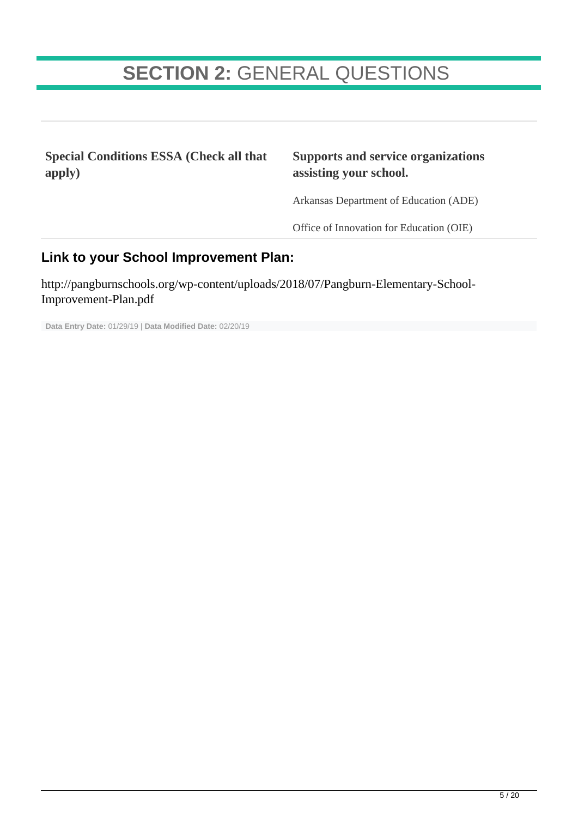## **SECTION 2:** GENERAL QUESTIONS

**Special Conditions ESSA (Check all that apply)**

#### **Supports and service organizations assisting your school.**

Arkansas Department of Education (ADE)

Office of Innovation for Education (OIE)

#### **Link to your School Improvement Plan:**

http://pangburnschools.org/wp-content/uploads/2018/07/Pangburn-Elementary-School-Improvement-Plan.pdf

**Data Entry Date:** 01/29/19 | **Data Modified Date:** 02/20/19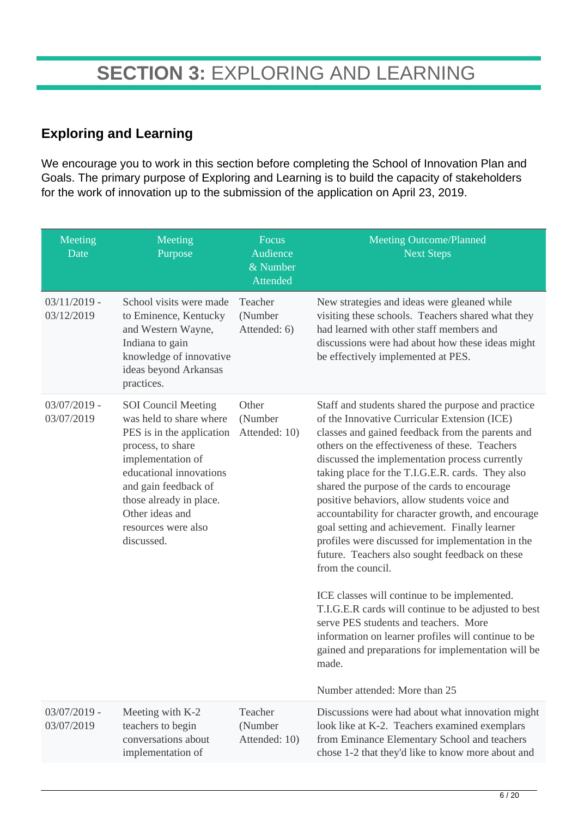### **Exploring and Learning**

We encourage you to work in this section before completing the School of Innovation Plan and Goals. The primary purpose of Exploring and Learning is to build the capacity of stakeholders for the work of innovation up to the submission of the application on April 23, 2019.

| Meeting<br>Date              | Meeting<br>Purpose                                                                                                                                                                                                                                                 | Focus<br>Audience<br>& Number<br>Attended | <b>Meeting Outcome/Planned</b><br><b>Next Steps</b>                                                                                                                                                                                                                                                                                                                                                                                                                                                                                                                                                                                                                                                                                                                                                                                                                                                                                                       |
|------------------------------|--------------------------------------------------------------------------------------------------------------------------------------------------------------------------------------------------------------------------------------------------------------------|-------------------------------------------|-----------------------------------------------------------------------------------------------------------------------------------------------------------------------------------------------------------------------------------------------------------------------------------------------------------------------------------------------------------------------------------------------------------------------------------------------------------------------------------------------------------------------------------------------------------------------------------------------------------------------------------------------------------------------------------------------------------------------------------------------------------------------------------------------------------------------------------------------------------------------------------------------------------------------------------------------------------|
| $03/11/2019$ -<br>03/12/2019 | School visits were made<br>to Eminence, Kentucky<br>and Western Wayne,<br>Indiana to gain<br>knowledge of innovative<br>ideas beyond Arkansas<br>practices.                                                                                                        | Teacher<br>(Number<br>Attended: 6)        | New strategies and ideas were gleaned while<br>visiting these schools. Teachers shared what they<br>had learned with other staff members and<br>discussions were had about how these ideas might<br>be effectively implemented at PES.                                                                                                                                                                                                                                                                                                                                                                                                                                                                                                                                                                                                                                                                                                                    |
| $03/07/2019$ -<br>03/07/2019 | <b>SOI</b> Council Meeting<br>was held to share where<br>PES is in the application<br>process, to share<br>implementation of<br>educational innovations<br>and gain feedback of<br>those already in place.<br>Other ideas and<br>resources were also<br>discussed. | Other<br>(Number<br>Attended: 10)         | Staff and students shared the purpose and practice<br>of the Innovative Curricular Extension (ICE)<br>classes and gained feedback from the parents and<br>others on the effectiveness of these. Teachers<br>discussed the implementation process currently<br>taking place for the T.I.G.E.R. cards. They also<br>shared the purpose of the cards to encourage<br>positive behaviors, allow students voice and<br>accountability for character growth, and encourage<br>goal setting and achievement. Finally learner<br>profiles were discussed for implementation in the<br>future. Teachers also sought feedback on these<br>from the council.<br>ICE classes will continue to be implemented.<br>T.I.G.E.R cards will continue to be adjusted to best<br>serve PES students and teachers. More<br>information on learner profiles will continue to be<br>gained and preparations for implementation will be<br>made.<br>Number attended: More than 25 |
| $03/07/2019$ -<br>03/07/2019 | Meeting with K-2<br>teachers to begin<br>conversations about<br>implementation of                                                                                                                                                                                  | Teacher<br>(Number<br>Attended: 10)       | Discussions were had about what innovation might<br>look like at K-2. Teachers examined exemplars<br>from Eminance Elementary School and teachers<br>chose 1-2 that they'd like to know more about and                                                                                                                                                                                                                                                                                                                                                                                                                                                                                                                                                                                                                                                                                                                                                    |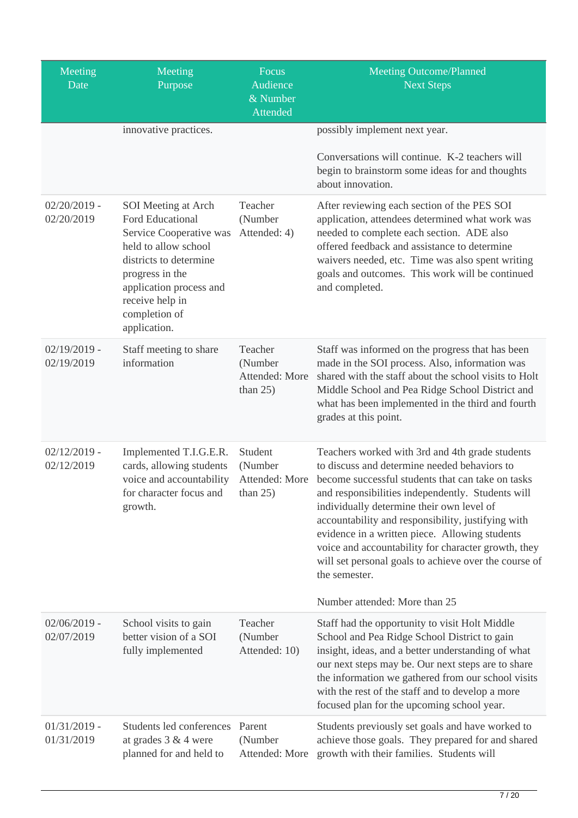| Meeting<br>Date              | Meeting<br>Purpose                                                                                                                                                                                                            | Focus<br>Audience<br>& Number<br>Attended           | <b>Meeting Outcome/Planned</b><br><b>Next Steps</b>                                                                                                                                                                                                                                                                                                                                                                                                                                                                              |
|------------------------------|-------------------------------------------------------------------------------------------------------------------------------------------------------------------------------------------------------------------------------|-----------------------------------------------------|----------------------------------------------------------------------------------------------------------------------------------------------------------------------------------------------------------------------------------------------------------------------------------------------------------------------------------------------------------------------------------------------------------------------------------------------------------------------------------------------------------------------------------|
|                              | innovative practices.                                                                                                                                                                                                         |                                                     | possibly implement next year.<br>Conversations will continue. K-2 teachers will<br>begin to brainstorm some ideas for and thoughts<br>about innovation.                                                                                                                                                                                                                                                                                                                                                                          |
| $02/20/2019$ -<br>02/20/2019 | SOI Meeting at Arch<br><b>Ford Educational</b><br>Service Cooperative was<br>held to allow school<br>districts to determine<br>progress in the<br>application process and<br>receive help in<br>completion of<br>application. | Teacher<br>(Number<br>Attended: 4)                  | After reviewing each section of the PES SOI<br>application, attendees determined what work was<br>needed to complete each section. ADE also<br>offered feedback and assistance to determine<br>waivers needed, etc. Time was also spent writing<br>goals and outcomes. This work will be continued<br>and completed.                                                                                                                                                                                                             |
| $02/19/2019$ -<br>02/19/2019 | Staff meeting to share<br>information                                                                                                                                                                                         | Teacher<br>(Number<br>Attended: More<br>than $25$ ) | Staff was informed on the progress that has been<br>made in the SOI process. Also, information was<br>shared with the staff about the school visits to Holt<br>Middle School and Pea Ridge School District and<br>what has been implemented in the third and fourth<br>grades at this point.                                                                                                                                                                                                                                     |
| $02/12/2019$ -<br>02/12/2019 | Implemented T.I.G.E.R.<br>cards, allowing students<br>voice and accountability<br>for character focus and<br>growth.                                                                                                          | Student<br>(Number<br>Attended: More<br>than $25$ ) | Teachers worked with 3rd and 4th grade students<br>to discuss and determine needed behaviors to<br>become successful students that can take on tasks<br>and responsibilities independently. Students will<br>individually determine their own level of<br>accountability and responsibility, justifying with<br>evidence in a written piece. Allowing students<br>voice and accountability for character growth, they<br>will set personal goals to achieve over the course of<br>the semester.<br>Number attended: More than 25 |
| $02/06/2019$ -<br>02/07/2019 | School visits to gain<br>better vision of a SOI<br>fully implemented                                                                                                                                                          | Teacher<br>(Number<br>Attended: 10)                 | Staff had the opportunity to visit Holt Middle<br>School and Pea Ridge School District to gain<br>insight, ideas, and a better understanding of what<br>our next steps may be. Our next steps are to share<br>the information we gathered from our school visits<br>with the rest of the staff and to develop a more<br>focused plan for the upcoming school year.                                                                                                                                                               |
| $01/31/2019$ -<br>01/31/2019 | Students led conferences Parent<br>at grades $3 & 4$ were<br>planned for and held to                                                                                                                                          | (Number<br>Attended: More                           | Students previously set goals and have worked to<br>achieve those goals. They prepared for and shared<br>growth with their families. Students will                                                                                                                                                                                                                                                                                                                                                                               |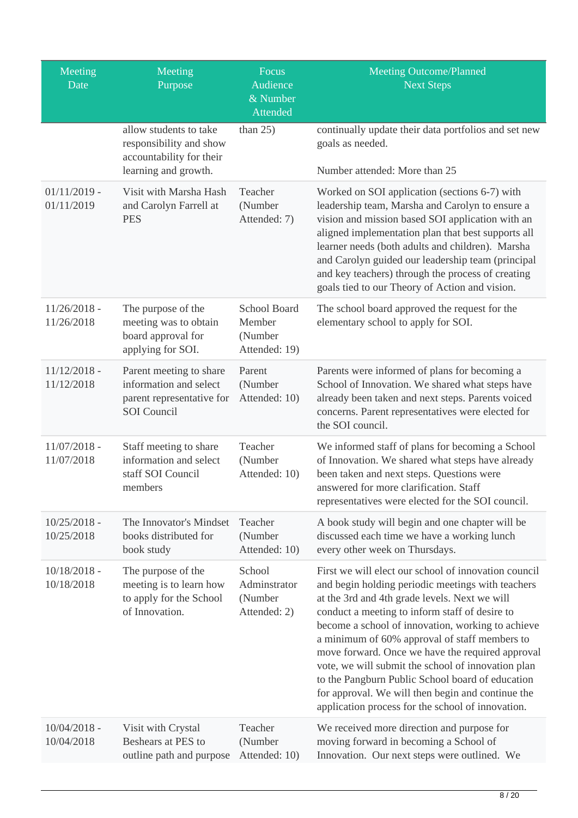| Meeting<br>Date              | Meeting<br>Purpose                                                                                   | Focus<br>Audience<br>& Number<br>Attended                 | <b>Meeting Outcome/Planned</b><br><b>Next Steps</b>                                                                                                                                                                                                                                                                                                                                                                                                                                                                                                                                        |
|------------------------------|------------------------------------------------------------------------------------------------------|-----------------------------------------------------------|--------------------------------------------------------------------------------------------------------------------------------------------------------------------------------------------------------------------------------------------------------------------------------------------------------------------------------------------------------------------------------------------------------------------------------------------------------------------------------------------------------------------------------------------------------------------------------------------|
|                              | allow students to take<br>responsibility and show<br>accountability for their                        | than $25$ )                                               | continually update their data portfolios and set new<br>goals as needed.                                                                                                                                                                                                                                                                                                                                                                                                                                                                                                                   |
|                              | learning and growth.                                                                                 |                                                           | Number attended: More than 25                                                                                                                                                                                                                                                                                                                                                                                                                                                                                                                                                              |
| $01/11/2019$ -<br>01/11/2019 | Visit with Marsha Hash<br>and Carolyn Farrell at<br><b>PES</b>                                       | Teacher<br>(Number<br>Attended: 7)                        | Worked on SOI application (sections 6-7) with<br>leadership team, Marsha and Carolyn to ensure a<br>vision and mission based SOI application with an<br>aligned implementation plan that best supports all<br>learner needs (both adults and children). Marsha<br>and Carolyn guided our leadership team (principal<br>and key teachers) through the process of creating<br>goals tied to our Theory of Action and vision.                                                                                                                                                                 |
| $11/26/2018 -$<br>11/26/2018 | The purpose of the<br>meeting was to obtain<br>board approval for<br>applying for SOI.               | <b>School Board</b><br>Member<br>(Number<br>Attended: 19) | The school board approved the request for the<br>elementary school to apply for SOI.                                                                                                                                                                                                                                                                                                                                                                                                                                                                                                       |
| $11/12/2018$ -<br>11/12/2018 | Parent meeting to share<br>information and select<br>parent representative for<br><b>SOI</b> Council | Parent<br>(Number<br>Attended: 10)                        | Parents were informed of plans for becoming a<br>School of Innovation. We shared what steps have<br>already been taken and next steps. Parents voiced<br>concerns. Parent representatives were elected for<br>the SOI council.                                                                                                                                                                                                                                                                                                                                                             |
| $11/07/2018$ -<br>11/07/2018 | Staff meeting to share<br>information and select<br>staff SOI Council<br>members                     | Teacher<br>(Number<br>Attended: 10)                       | We informed staff of plans for becoming a School<br>of Innovation. We shared what steps have already<br>been taken and next steps. Questions were<br>answered for more clarification. Staff<br>representatives were elected for the SOI council.                                                                                                                                                                                                                                                                                                                                           |
| $10/25/2018$ -<br>10/25/2018 | The Innovator's Mindset<br>books distributed for<br>book study                                       | Teacher<br>(Number<br>Attended: 10)                       | A book study will begin and one chapter will be<br>discussed each time we have a working lunch<br>every other week on Thursdays.                                                                                                                                                                                                                                                                                                                                                                                                                                                           |
| $10/18/2018$ -<br>10/18/2018 | The purpose of the<br>meeting is to learn how<br>to apply for the School<br>of Innovation.           | School<br>Adminstrator<br>(Number<br>Attended: 2)         | First we will elect our school of innovation council<br>and begin holding periodic meetings with teachers<br>at the 3rd and 4th grade levels. Next we will<br>conduct a meeting to inform staff of desire to<br>become a school of innovation, working to achieve<br>a minimum of 60% approval of staff members to<br>move forward. Once we have the required approval<br>vote, we will submit the school of innovation plan<br>to the Pangburn Public School board of education<br>for approval. We will then begin and continue the<br>application process for the school of innovation. |
| $10/04/2018$ -<br>10/04/2018 | Visit with Crystal<br>Beshears at PES to<br>outline path and purpose                                 | Teacher<br>(Number<br>Attended: 10)                       | We received more direction and purpose for<br>moving forward in becoming a School of<br>Innovation. Our next steps were outlined. We                                                                                                                                                                                                                                                                                                                                                                                                                                                       |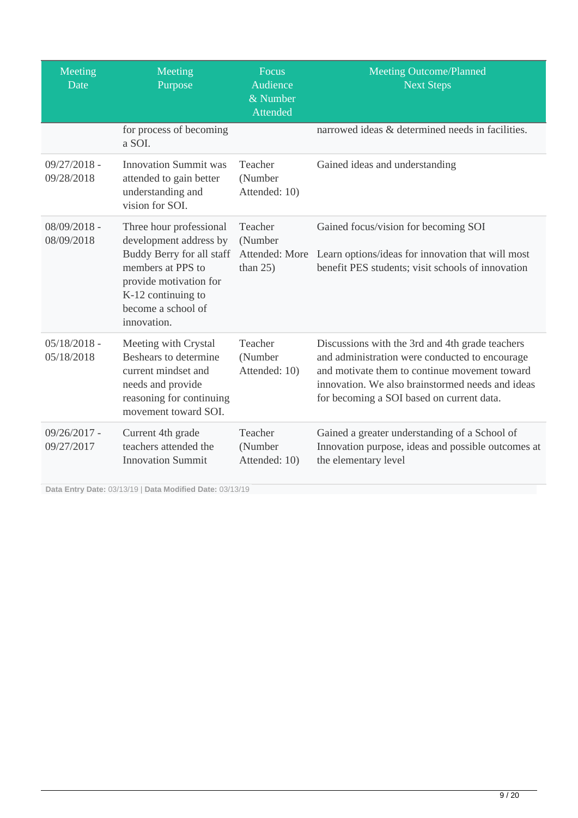| Meeting<br>Date              | Meeting<br>Purpose                                                                                                                                                                       | Focus<br>Audience<br>& Number<br>Attended           | <b>Meeting Outcome/Planned</b><br><b>Next Steps</b>                                                                                                                                                                                                 |
|------------------------------|------------------------------------------------------------------------------------------------------------------------------------------------------------------------------------------|-----------------------------------------------------|-----------------------------------------------------------------------------------------------------------------------------------------------------------------------------------------------------------------------------------------------------|
|                              | for process of becoming<br>a SOI.                                                                                                                                                        |                                                     | narrowed ideas & determined needs in facilities.                                                                                                                                                                                                    |
| $09/27/2018 -$<br>09/28/2018 | <b>Innovation Summit was</b><br>attended to gain better<br>understanding and<br>vision for SOI.                                                                                          | Teacher<br>(Number<br>Attended: 10)                 | Gained ideas and understanding                                                                                                                                                                                                                      |
| $08/09/2018 -$<br>08/09/2018 | Three hour professional<br>development address by<br>Buddy Berry for all staff<br>members at PPS to<br>provide motivation for<br>K-12 continuing to<br>become a school of<br>innovation. | Teacher<br>(Number<br>Attended: More<br>than $25$ ) | Gained focus/vision for becoming SOI<br>Learn options/ideas for innovation that will most<br>benefit PES students; visit schools of innovation                                                                                                      |
| $05/18/2018 -$<br>05/18/2018 | Meeting with Crystal<br>Beshears to determine<br>current mindset and<br>needs and provide<br>reasoning for continuing<br>movement toward SOI.                                            | Teacher<br>(Number<br>Attended: 10)                 | Discussions with the 3rd and 4th grade teachers<br>and administration were conducted to encourage<br>and motivate them to continue movement toward<br>innovation. We also brainstormed needs and ideas<br>for becoming a SOI based on current data. |
| $09/26/2017 -$<br>09/27/2017 | Current 4th grade<br>teachers attended the<br><b>Innovation Summit</b>                                                                                                                   | Teacher<br>(Number<br>Attended: 10)                 | Gained a greater understanding of a School of<br>Innovation purpose, ideas and possible outcomes at<br>the elementary level                                                                                                                         |

**Data Entry Date:** 03/13/19 | **Data Modified Date:** 03/13/19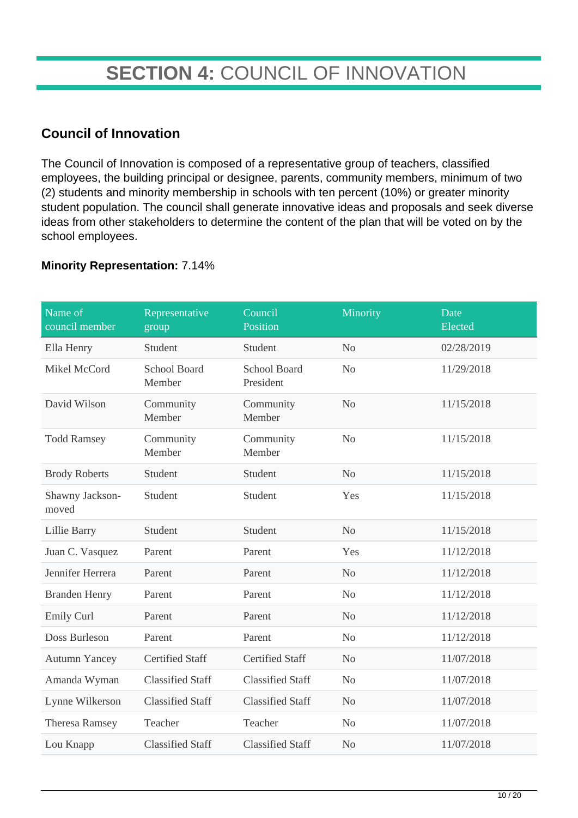## **SECTION 4:** COUNCIL OF INNOVATION

#### **Council of Innovation**

The Council of Innovation is composed of a representative group of teachers, classified employees, the building principal or designee, parents, community members, minimum of two (2) students and minority membership in schools with ten percent (10%) or greater minority student population. The council shall generate innovative ideas and proposals and seek diverse ideas from other stakeholders to determine the content of the plan that will be voted on by the school employees.

#### **Minority Representation:** 7.14%

| Name of<br>council member | Representative<br>group       | Council<br>Position       | Minority       | Date<br>Elected |
|---------------------------|-------------------------------|---------------------------|----------------|-----------------|
| Ella Henry                | Student                       | Student                   | N <sub>o</sub> | 02/28/2019      |
| Mikel McCord              | <b>School Board</b><br>Member | School Board<br>President | N <sub>o</sub> | 11/29/2018      |
| David Wilson              | Community<br>Member           | Community<br>Member       | N <sub>o</sub> | 11/15/2018      |
| <b>Todd Ramsey</b>        | Community<br>Member           | Community<br>Member       | N <sub>o</sub> | 11/15/2018      |
| <b>Brody Roberts</b>      | Student                       | Student                   | N <sub>o</sub> | 11/15/2018      |
| Shawny Jackson-<br>moved  | Student                       | Student                   | Yes            | 11/15/2018      |
| <b>Lillie Barry</b>       | Student                       | Student                   | N <sub>o</sub> | 11/15/2018      |
| Juan C. Vasquez           | Parent                        | Parent                    | Yes            | 11/12/2018      |
| Jennifer Herrera          | Parent                        | Parent                    | N <sub>o</sub> | 11/12/2018      |
| <b>Branden Henry</b>      | Parent                        | Parent                    | N <sub>o</sub> | 11/12/2018      |
| <b>Emily Curl</b>         | Parent                        | Parent                    | No             | 11/12/2018      |
| Doss Burleson             | Parent                        | Parent                    | N <sub>o</sub> | 11/12/2018      |
| <b>Autumn Yancey</b>      | <b>Certified Staff</b>        | <b>Certified Staff</b>    | N <sub>o</sub> | 11/07/2018      |
| Amanda Wyman              | <b>Classified Staff</b>       | <b>Classified Staff</b>   | N <sub>o</sub> | 11/07/2018      |
| Lynne Wilkerson           | <b>Classified Staff</b>       | <b>Classified Staff</b>   | N <sub>o</sub> | 11/07/2018      |
| <b>Theresa Ramsey</b>     | Teacher                       | Teacher                   | N <sub>o</sub> | 11/07/2018      |
| Lou Knapp                 | <b>Classified Staff</b>       | <b>Classified Staff</b>   | N <sub>o</sub> | 11/07/2018      |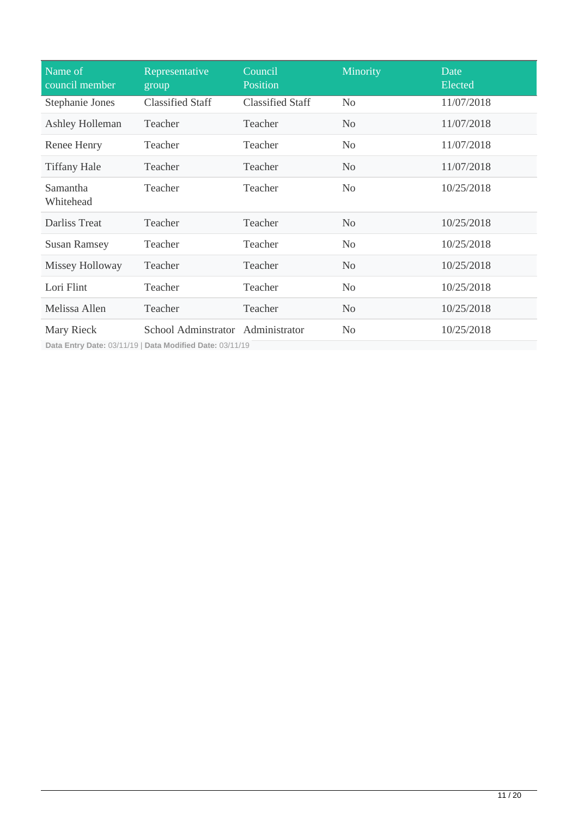| Name of<br>council member                                                                                                                                   | Representative<br>group            | Council<br>Position     | Minority       | Date<br>Elected |
|-------------------------------------------------------------------------------------------------------------------------------------------------------------|------------------------------------|-------------------------|----------------|-----------------|
| Stephanie Jones                                                                                                                                             | <b>Classified Staff</b>            | <b>Classified Staff</b> | N <sub>0</sub> | 11/07/2018      |
| Ashley Holleman                                                                                                                                             | Teacher                            | Teacher                 | N <sub>o</sub> | 11/07/2018      |
| Renee Henry                                                                                                                                                 | Teacher                            | Teacher                 | N <sub>0</sub> | 11/07/2018      |
| <b>Tiffany Hale</b>                                                                                                                                         | Teacher                            | Teacher                 | N <sub>0</sub> | 11/07/2018      |
| Samantha<br>Whitehead                                                                                                                                       | Teacher                            | Teacher                 | N <sub>o</sub> | 10/25/2018      |
| Darliss Treat                                                                                                                                               | Teacher                            | Teacher                 | N <sub>o</sub> | 10/25/2018      |
| <b>Susan Ramsey</b>                                                                                                                                         | Teacher                            | Teacher                 | N <sub>o</sub> | 10/25/2018      |
| Missey Holloway                                                                                                                                             | Teacher                            | Teacher                 | N <sub>0</sub> | 10/25/2018      |
| Lori Flint                                                                                                                                                  | Teacher                            | Teacher                 | N <sub>o</sub> | 10/25/2018      |
| Melissa Allen                                                                                                                                               | Teacher                            | Teacher                 | N <sub>o</sub> | 10/25/2018      |
| Mary Rieck<br>$D_{n+1}$ , $D_{n+1}$ , $D_{n+2}$ , $D_{n+1}$ , $D_{n+1}$ , $D_{n+1}$ , $D_{n+1}$ , $D_{n+1}$ , $D_{n+1}$ , $D_{n+1}$ , $D_{n+1}$ , $D_{n+1}$ | School Administrator Administrator |                         | N <sub>o</sub> | 10/25/2018      |

**Data Entry Date:** 03/11/19 | **Data Modified Date:** 03/11/19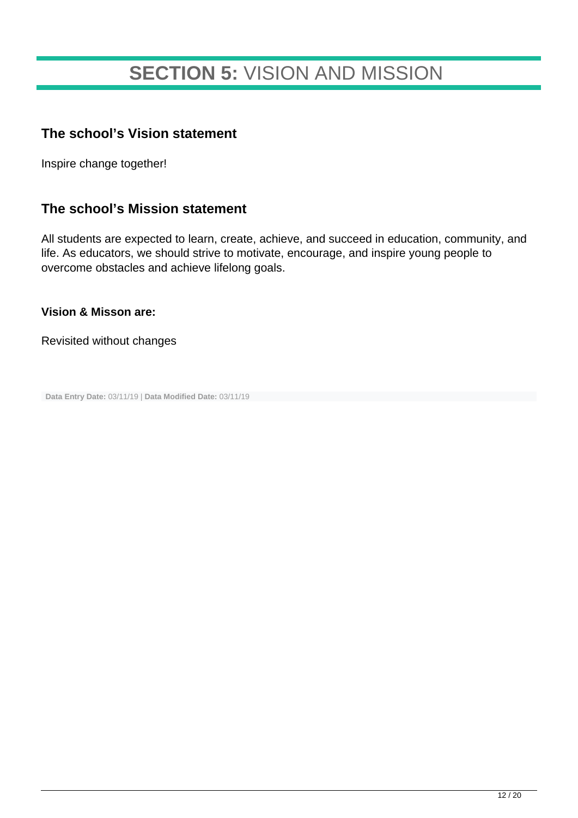## **SECTION 5:** VISION AND MISSION

#### **The school's Vision statement**

Inspire change together!

#### **The school's Mission statement**

All students are expected to learn, create, achieve, and succeed in education, community, and life. As educators, we should strive to motivate, encourage, and inspire young people to overcome obstacles and achieve lifelong goals.

**Vision & Misson are:**

Revisited without changes

**Data Entry Date:** 03/11/19 | **Data Modified Date:** 03/11/19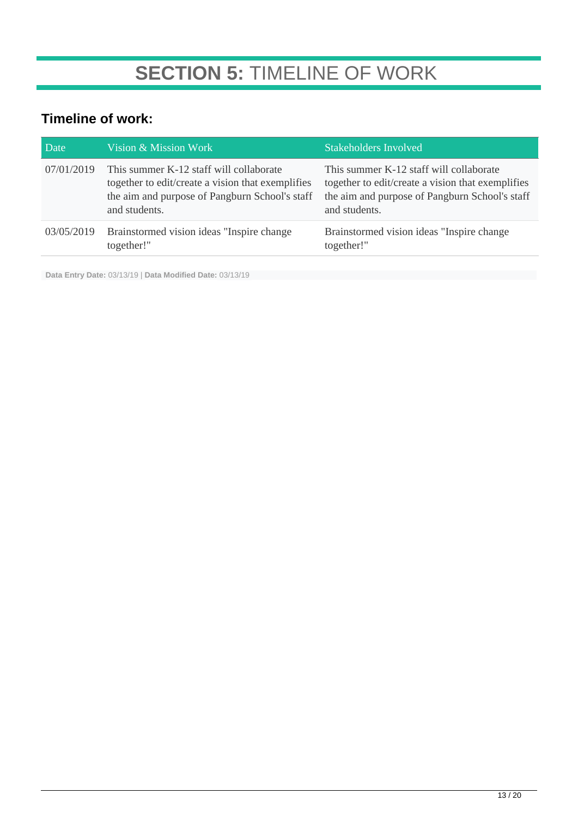## **SECTION 5:** TIMELINE OF WORK

### **Timeline of work:**

| Date       | Vision & Mission Work                                                                                                                                           | <b>Stakeholders Involved</b>                                                                                                                                    |
|------------|-----------------------------------------------------------------------------------------------------------------------------------------------------------------|-----------------------------------------------------------------------------------------------------------------------------------------------------------------|
| 07/01/2019 | This summer K-12 staff will collaborate<br>together to edit/create a vision that exemplifies<br>the aim and purpose of Pangburn School's staff<br>and students. | This summer K-12 staff will collaborate<br>together to edit/create a vision that exemplifies<br>the aim and purpose of Pangburn School's staff<br>and students. |
| 03/05/2019 | Brainstormed vision ideas "Inspire change"<br>together!"                                                                                                        | Brainstormed vision ideas "Inspire change"<br>together!"                                                                                                        |

**Data Entry Date:** 03/13/19 | **Data Modified Date:** 03/13/19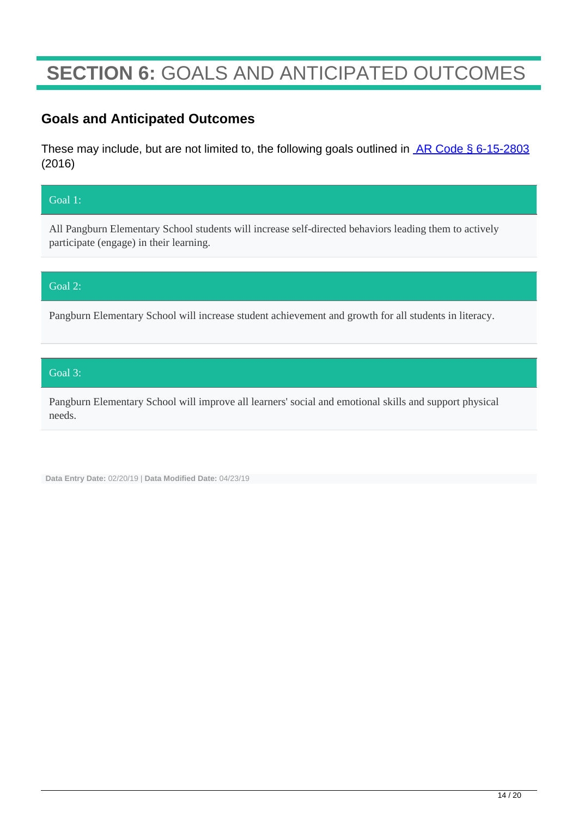## **SECTION 6:** GOALS AND ANTICIPATED OUTCOMES

#### **Goals and Anticipated Outcomes**

These may include, but are not limited to, the following goals outlined in **AR Code § 6-15-2803** (2016)

#### Goal 1:

All Pangburn Elementary School students will increase self-directed behaviors leading them to actively participate (engage) in their learning.

#### Goal 2:

Pangburn Elementary School will increase student achievement and growth for all students in literacy.

#### Goal 3:

Pangburn Elementary School will improve all learners' social and emotional skills and support physical needs.

**Data Entry Date:** 02/20/19 | **Data Modified Date:** 04/23/19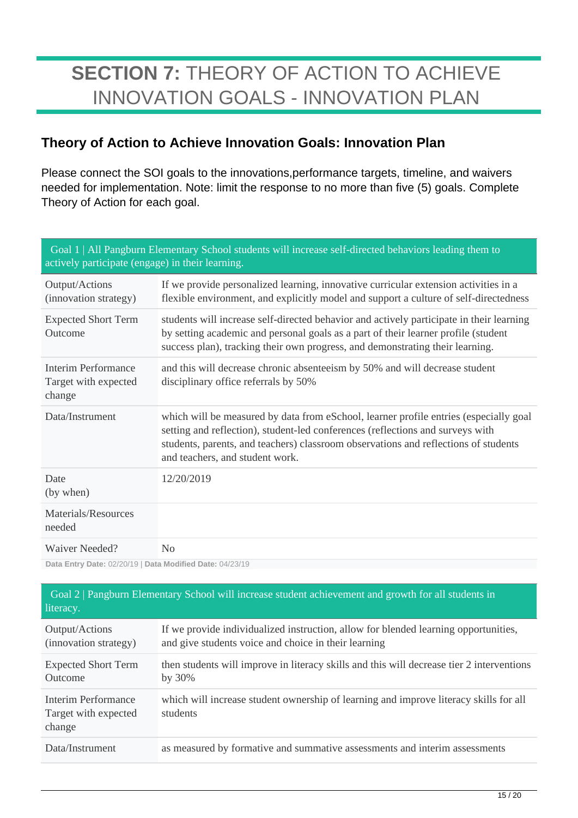## **SECTION 7:** THEORY OF ACTION TO ACHIEVE INNOVATION GOALS - INNOVATION PLAN

### **Theory of Action to Achieve Innovation Goals: Innovation Plan**

Please connect the SOI goals to the innovations,performance targets, timeline, and waivers needed for implementation. Note: limit the response to no more than five (5) goals. Complete Theory of Action for each goal.

| Goal 1   All Pangburn Elementary School students will increase self-directed behaviors leading them to<br>actively participate (engage) in their learning. |                                                                                                                                                                                                                                                                                                   |  |
|------------------------------------------------------------------------------------------------------------------------------------------------------------|---------------------------------------------------------------------------------------------------------------------------------------------------------------------------------------------------------------------------------------------------------------------------------------------------|--|
| Output/Actions<br>(innovation strategy)                                                                                                                    | If we provide personalized learning, innovative curricular extension activities in a<br>flexible environment, and explicitly model and support a culture of self-directedness                                                                                                                     |  |
| <b>Expected Short Term</b><br>Outcome                                                                                                                      | students will increase self-directed behavior and actively participate in their learning<br>by setting academic and personal goals as a part of their learner profile (student<br>success plan), tracking their own progress, and demonstrating their learning.                                   |  |
| Interim Performance<br>Target with expected<br>change                                                                                                      | and this will decrease chronic absenteeism by 50% and will decrease student<br>disciplinary office referrals by 50%                                                                                                                                                                               |  |
| Data/Instrument                                                                                                                                            | which will be measured by data from eSchool, learner profile entries (especially goal<br>setting and reflection), student-led conferences (reflections and surveys with<br>students, parents, and teachers) classroom observations and reflections of students<br>and teachers, and student work. |  |
| Date<br>(by when)                                                                                                                                          | 12/20/2019                                                                                                                                                                                                                                                                                        |  |
| Materials/Resources<br>needed                                                                                                                              |                                                                                                                                                                                                                                                                                                   |  |
| Waiver Needed?                                                                                                                                             | No                                                                                                                                                                                                                                                                                                |  |

**Data Entry Date:** 02/20/19 | **Data Modified Date:** 04/23/19

| Goal 2   Pangburn Elementary School will increase student achievement and growth for all students in<br>literacy. |                                                                                                                                             |  |  |
|-------------------------------------------------------------------------------------------------------------------|---------------------------------------------------------------------------------------------------------------------------------------------|--|--|
| Output/Actions<br>(innovation strategy)                                                                           | If we provide individualized instruction, allow for blended learning opportunities,<br>and give students voice and choice in their learning |  |  |
| <b>Expected Short Term</b><br>Outcome                                                                             | then students will improve in literacy skills and this will decrease tier 2 interventions<br>by $30\%$                                      |  |  |
| Interim Performance<br>Target with expected<br>change                                                             | which will increase student ownership of learning and improve literacy skills for all<br>students                                           |  |  |
| Data/Instrument                                                                                                   | as measured by formative and summative assessments and interim assessments                                                                  |  |  |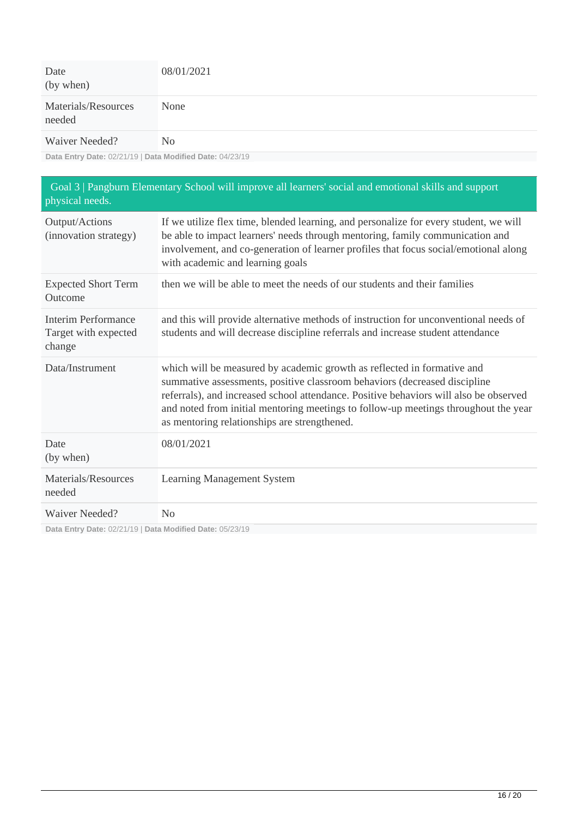| Date<br>(by when)             | 08/01/2021     |
|-------------------------------|----------------|
| Materials/Resources<br>needed | None           |
| Waiver Needed?                | N <sub>0</sub> |

**Data Entry Date:** 02/21/19 | **Data Modified Date:** 04/23/19

| physical needs.                                                            | Goal 3   Pangburn Elementary School will improve all learners' social and emotional skills and support                                                                                                                                                                                                                                                                               |
|----------------------------------------------------------------------------|--------------------------------------------------------------------------------------------------------------------------------------------------------------------------------------------------------------------------------------------------------------------------------------------------------------------------------------------------------------------------------------|
| Output/Actions<br>(innovation strategy)                                    | If we utilize flex time, blended learning, and personalize for every student, we will<br>be able to impact learners' needs through mentoring, family communication and<br>involvement, and co-generation of learner profiles that focus social/emotional along<br>with academic and learning goals                                                                                   |
| <b>Expected Short Term</b><br>Outcome                                      | then we will be able to meet the needs of our students and their families                                                                                                                                                                                                                                                                                                            |
| <b>Interim Performance</b><br>Target with expected<br>change               | and this will provide alternative methods of instruction for unconventional needs of<br>students and will decrease discipline referrals and increase student attendance                                                                                                                                                                                                              |
| Data/Instrument                                                            | which will be measured by academic growth as reflected in formative and<br>summative assessments, positive classroom behaviors (decreased discipline<br>referrals), and increased school attendance. Positive behaviors will also be observed<br>and noted from initial mentoring meetings to follow-up meetings throughout the year<br>as mentoring relationships are strengthened. |
| Date<br>(by when)                                                          | 08/01/2021                                                                                                                                                                                                                                                                                                                                                                           |
| Materials/Resources<br>needed                                              | Learning Management System                                                                                                                                                                                                                                                                                                                                                           |
| Waiver Needed?<br>Data Entry Date: 02/21/19   Data Modified Date: 05/23/19 | No                                                                                                                                                                                                                                                                                                                                                                                   |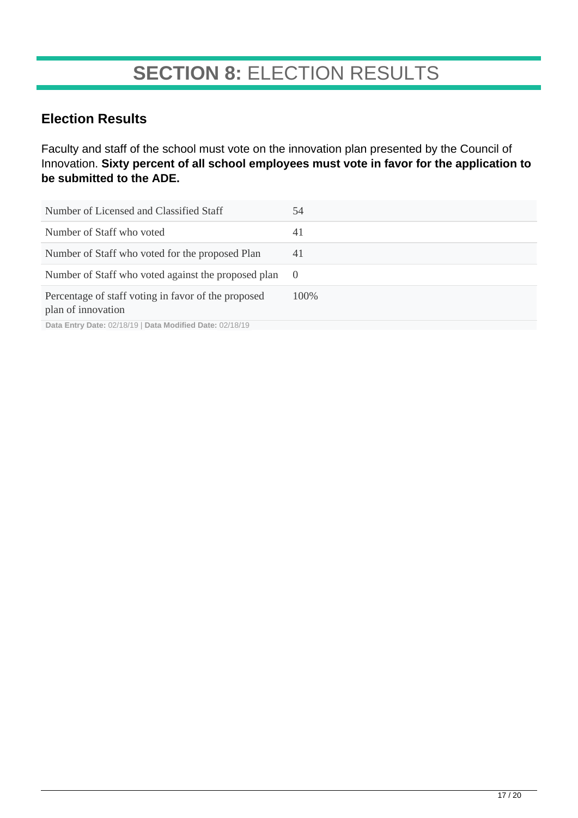### **SECTION 8:** ELECTION RESULTS

### **Election Results**

Faculty and staff of the school must vote on the innovation plan presented by the Council of Innovation. **Sixty percent of all school employees must vote in favor for the application to be submitted to the ADE.**

| Number of Licensed and Classified Staff                                   | 54               |
|---------------------------------------------------------------------------|------------------|
| Number of Staff who voted                                                 | 41               |
| Number of Staff who voted for the proposed Plan                           | 41               |
| Number of Staff who voted against the proposed plan                       | $\left( \right)$ |
| Percentage of staff voting in favor of the proposed<br>plan of innovation | 100\%            |

**Data Entry Date:** 02/18/19 | **Data Modified Date:** 02/18/19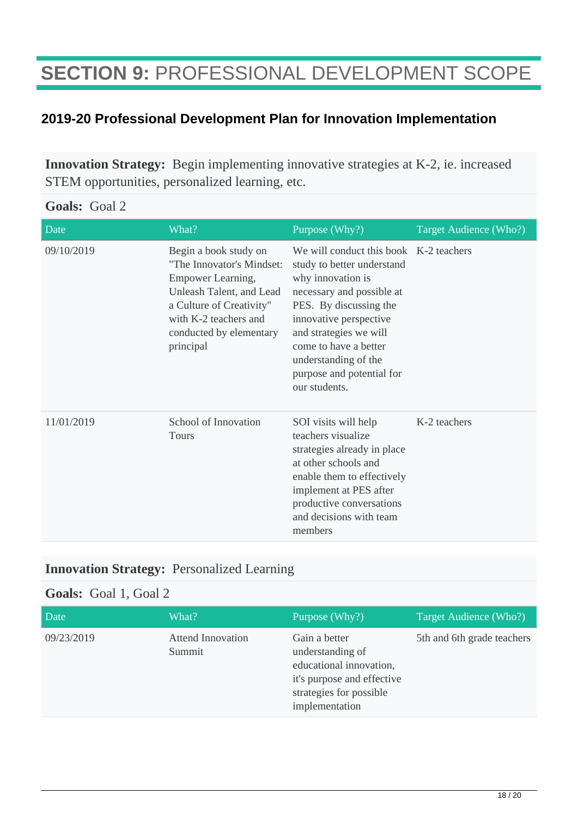## **SECTION 9:** PROFESSIONAL DEVELOPMENT SCOPE

### **2019-20 Professional Development Plan for Innovation Implementation**

**Innovation Strategy:** Begin implementing innovative strategies at K-2, ie. increased STEM opportunities, personalized learning, etc.

| Goals: Goal 2 |  |  |
|---------------|--|--|
|---------------|--|--|

| Date       | What?                                                                                                                                                                                            | Purpose (Why?)                                                                                                                                                                                                                                                                                      | Target Audience (Who?) |
|------------|--------------------------------------------------------------------------------------------------------------------------------------------------------------------------------------------------|-----------------------------------------------------------------------------------------------------------------------------------------------------------------------------------------------------------------------------------------------------------------------------------------------------|------------------------|
| 09/10/2019 | Begin a book study on<br>"The Innovator's Mindset:<br>Empower Learning,<br>Unleash Talent, and Lead<br>a Culture of Creativity"<br>with K-2 teachers and<br>conducted by elementary<br>principal | We will conduct this book K-2 teachers<br>study to better understand<br>why innovation is<br>necessary and possible at<br>PES. By discussing the<br>innovative perspective<br>and strategies we will<br>come to have a better<br>understanding of the<br>purpose and potential for<br>our students. |                        |
| 11/01/2019 | School of Innovation<br><b>Tours</b>                                                                                                                                                             | SOI visits will help<br>teachers visualize<br>strategies already in place<br>at other schools and<br>enable them to effectively<br>implement at PES after<br>productive conversations<br>and decisions with team<br>members                                                                         | K-2 teachers           |

### **Innovation Strategy:** Personalized Learning

#### **Goals:** Goal 1, Goal 2

| Date       | What?                              | Purpose (Why?)                                                                                                                          | Target Audience (Who?)     |
|------------|------------------------------------|-----------------------------------------------------------------------------------------------------------------------------------------|----------------------------|
| 09/23/2019 | <b>Attend Innovation</b><br>Summit | Gain a better<br>understanding of<br>educational innovation,<br>it's purpose and effective<br>strategies for possible<br>implementation | 5th and 6th grade teachers |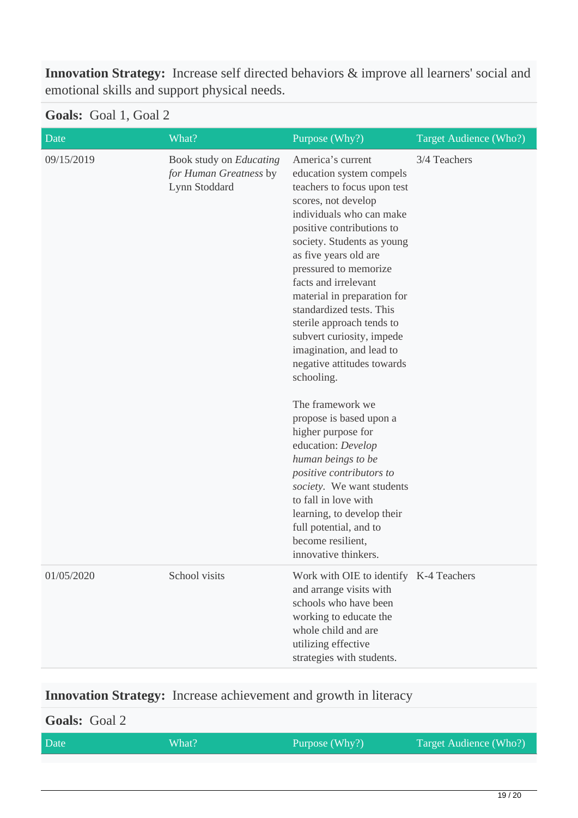**Innovation Strategy:** Increase self directed behaviors & improve all learners' social and emotional skills and support physical needs.

#### **Goals:** Goal 1, Goal 2

| Date       | What?                                                              | Purpose (Why?)                                                                                                                                                                                                                                                                                                                                                                                                                                                                                                                                                                                                                                                                                                                                                           | Target Audience (Who?) |
|------------|--------------------------------------------------------------------|--------------------------------------------------------------------------------------------------------------------------------------------------------------------------------------------------------------------------------------------------------------------------------------------------------------------------------------------------------------------------------------------------------------------------------------------------------------------------------------------------------------------------------------------------------------------------------------------------------------------------------------------------------------------------------------------------------------------------------------------------------------------------|------------------------|
| 09/15/2019 | Book study on Educating<br>for Human Greatness by<br>Lynn Stoddard | America's current<br>education system compels<br>teachers to focus upon test<br>scores, not develop<br>individuals who can make<br>positive contributions to<br>society. Students as young<br>as five years old are<br>pressured to memorize<br>facts and irrelevant<br>material in preparation for<br>standardized tests. This<br>sterile approach tends to<br>subvert curiosity, impede<br>imagination, and lead to<br>negative attitudes towards<br>schooling.<br>The framework we<br>propose is based upon a<br>higher purpose for<br>education: Develop<br>human beings to be<br>positive contributors to<br>society. We want students<br>to fall in love with<br>learning, to develop their<br>full potential, and to<br>become resilient,<br>innovative thinkers. | 3/4 Teachers           |
| 01/05/2020 | School visits                                                      | Work with OIE to identify K-4 Teachers<br>and arrange visits with<br>schools who have been<br>working to educate the<br>whole child and are<br>utilizing effective<br>strategies with students.                                                                                                                                                                                                                                                                                                                                                                                                                                                                                                                                                                          |                        |

### **Innovation Strategy:** Increase achievement and growth in literacy

## **Goals:** Goal 2 Date What? What? Purpose (Why?) Target Audience (Who?)